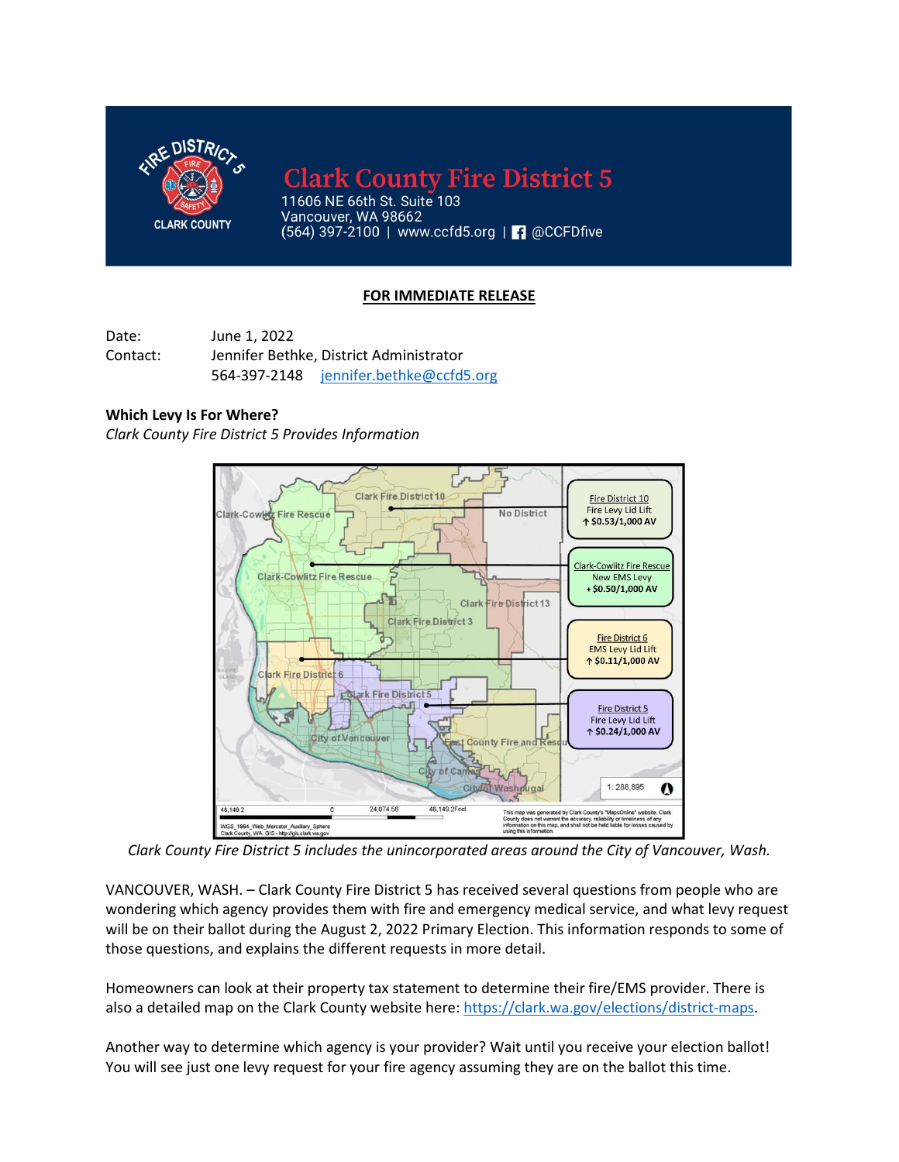

**Clark County Fire District 5** 

11606 NE 66th St. Suite 103 Vancouver, WA 98662  $(564)$  397-2100 | www.ccfd5.org |  $\Box$  @CCFDfive

## **FOR IMMEDIATE RELEASE**

Date: June 1, 2022 Contact: Jennifer Bethke, District Administrator 564-397-2148 [jennifer.bethke@ccfd5.org](mailto:jennifer.bethke@ccfd5.org)

## **Which Levy Is For Where?**

*Clark County Fire District 5 Provides Information*



*Clark County Fire District 5 includes the unincorporated areas around the City of Vancouver, Wash.*

VANCOUVER, WASH. – Clark County Fire District 5 has received several questions from people who are wondering which agency provides them with fire and emergency medical service, and what levy request will be on their ballot during the August 2, 2022 Primary Election. This information responds to some of those questions, and explains the different requests in more detail.

Homeowners can look at their property tax statement to determine their fire/EMS provider. There is also a detailed map on the Clark County website here: [https://clark.wa.gov/elections/district-maps.](https://clark.wa.gov/elections/district-maps)

Another way to determine which agency is your provider? Wait until you receive your election ballot! You will see just one levy request for your fire agency assuming they are on the ballot this time.